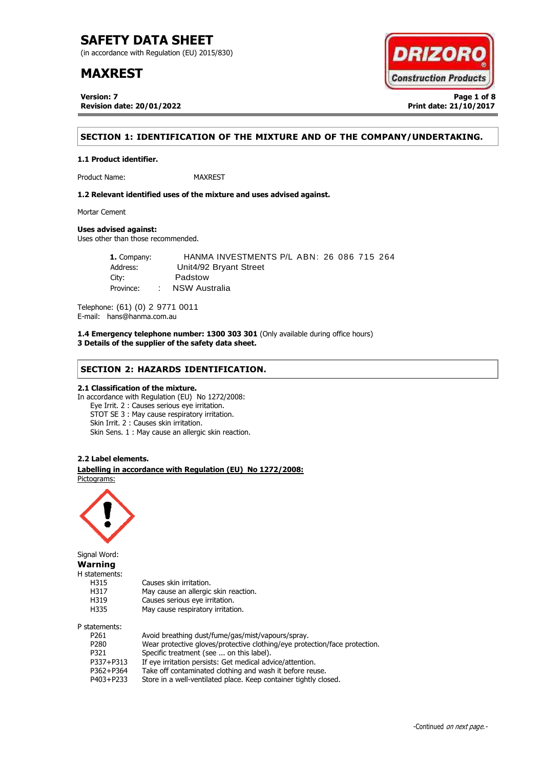(in accordance with Regulation (EU) 2015/830)

## **MAXREST**

**Version: 7 Page 1 of 8 Revision date: 20/01/2022 Print date: 21/10/2017**



## **SECTION 1: IDENTIFICATION OF THE MIXTURE AND OF THE COMPANY/UNDERTAKING.**

Product Name: MAXREST

**1.2 Relevant identified uses of the mixture and uses advised against.**

Mortar Cement

## **Uses advised against:**

**1.1 Product identifier.**

Uses other than those recommended.

**1.** Company: HANMA INVESTMENTS P/L ABN: 26 086 715 264 Address: Unit4/92 Bryant Street City: Padstow Province: : NSW Australia

Telephone: (61) (0) 2 9771 0011 E-mail: hans@hanma.com.au

**1.4 Emergency telephone number: 1300 303 301** (Only available during office hours) **3 Details of the supplier of the safety data sheet.**

## **SECTION 2: HAZARDS IDENTIFICATION.**

## **2.1 Classification of the mixture.**

In accordance with Regulation (EU) No 1272/2008: Eye Irrit. 2 : Causes serious eye irritation. STOT SE 3 : May cause respiratory irritation. Skin Irrit. 2 : Causes skin irritation. Skin Sens. 1 : May cause an allergic skin reaction.

### **2.2 Label elements.**

. **Labelling in accordance with Regulation (EU) No 1272/2008:** Pictograms:

May cause an allergic skin reaction.



Signal Word: **Warning** H statements: H315 Causes skin irritation.<br>H317 May cause an allergic H319 Causes serious eye irritation. H335 May cause respiratory irritation. P statements:

| P261      | Avoid breathing dust/fume/gas/mist/vapours/spray.                          |
|-----------|----------------------------------------------------------------------------|
| P280      | Wear protective gloves/protective clothing/eye protection/face protection. |
| P321      | Specific treatment (see  on this label).                                   |
| P337+P313 | If eye irritation persists: Get medical advice/attention.                  |
| P362+P364 | Take off contaminated clothing and wash it before reuse.                   |
| P403+P233 | Store in a well-ventilated place. Keep container tightly closed.           |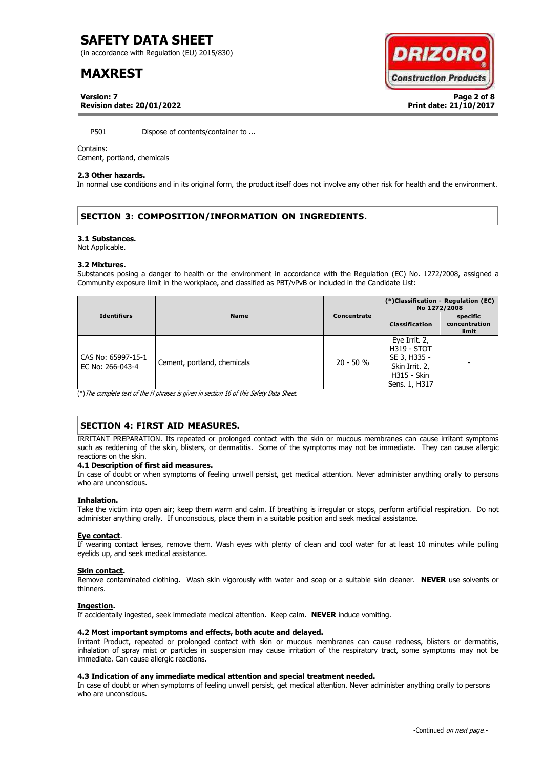(in accordance with Regulation (EU) 2015/830)

## **MAXREST**



**Version: 7 Page 2 of 8 Revision date: 20/01/2022 Print date: 21/10/2017**

P501 Dispose of contents/container to ...

### Contains:

Cement, portland, chemicals

### **2.3 Other hazards.**

In normal use conditions and in its original form, the product itself does not involve any other risk for health and the environment.

## **SECTION 3: COMPOSITION/INFORMATION ON INGREDIENTS.**

#### **3.1 Substances.**

Not Applicable.

#### **3.2 Mixtures.**

Substances posing a danger to health or the environment in accordance with the Regulation (EC) No. 1272/2008, assigned a Community exposure limit in the workplace, and classified as PBT/vPvB or included in the Candidate List:

|                                        |                             |             | (*)Classification - Regulation (EC)<br>No 1272/2008                                                          |                                    |
|----------------------------------------|-----------------------------|-------------|--------------------------------------------------------------------------------------------------------------|------------------------------------|
| <b>Identifiers</b>                     | <b>Name</b>                 | Concentrate | <b>Classification</b>                                                                                        | specific<br>concentration<br>limit |
| CAS No: 65997-15-1<br>EC No: 266-043-4 | Cement, portland, chemicals | $20 - 50 %$ | Eye Irrit. 2,<br><b>H319 - STOT</b><br>SE 3, H335 -<br>Skin Irrit. 2,<br><b>H315 - Skin</b><br>Sens. 1, H317 |                                    |

(\*)The complete text of the H phrases is given in section 16 of this Safety Data Sheet.

## **SECTION 4: FIRST AID MEASURES.**

IRRITANT PREPARATION. Its repeated or prolonged contact with the skin or mucous membranes can cause irritant symptoms such as reddening of the skin, blisters, or dermatitis. Some of the symptoms may not be immediate. They can cause allergic reactions on the skin.

### **4.1 Description of first aid measures.**

In case of doubt or when symptoms of feeling unwell persist, get medical attention. Never administer anything orally to persons who are unconscious.

### **Inhalation.**

Take the victim into open air; keep them warm and calm. If breathing is irregular or stops, perform artificial respiration. Do not administer anything orally. If unconscious, place them in a suitable position and seek medical assistance.

### **Eye contact**.

If wearing contact lenses, remove them. Wash eyes with plenty of clean and cool water for at least 10 minutes while pulling eyelids up, and seek medical assistance.

### **Skin contact.**

Remove contaminated clothing. Wash skin vigorously with water and soap or a suitable skin cleaner. **NEVER** use solvents or thinners.

### **Ingestion.**

If accidentally ingested, seek immediate medical attention. Keep calm. **NEVER** induce vomiting.

## **4.2 Most important symptoms and effects, both acute and delayed.**

Irritant Product, repeated or prolonged contact with skin or mucous membranes can cause redness, blisters or dermatitis, inhalation of spray mist or particles in suspension may cause irritation of the respiratory tract, some symptoms may not be immediate. Can cause allergic reactions.

## **4.3 Indication of any immediate medical attention and special treatment needed.**

In case of doubt or when symptoms of feeling unwell persist, get medical attention. Never administer anything orally to persons who are unconscious.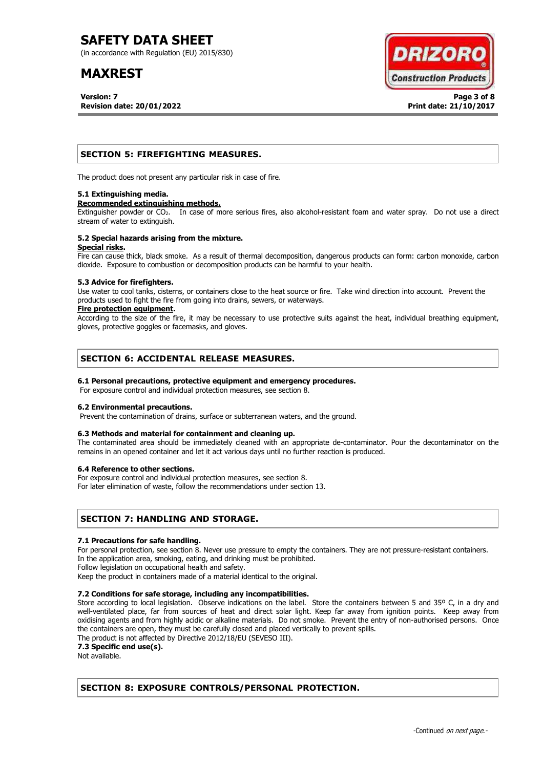(in accordance with Regulation (EU) 2015/830)

## **MAXREST**

**Version: 7 Page 3 of 8 Revision date: 20/01/2022 Print date: 21/10/2017**



## **SECTION 5: FIREFIGHTING MEASURES.**

The product does not present any particular risk in case of fire.

### **5.1 Extinguishing media.**

#### **Recommended extinguishing methods.**

Extinguisher powder or CO<sub>2</sub>. In case of more serious fires, also alcohol-resistant foam and water spray. Do not use a direct stream of water to extinguish.

#### **5.2 Special hazards arising from the mixture. Special risks.**

Fire can cause thick, black smoke. As a result of thermal decomposition, dangerous products can form: carbon monoxide, carbon dioxide. Exposure to combustion or decomposition products can be harmful to your health.

### **5.3 Advice for firefighters.**

Use water to cool tanks, cisterns, or containers close to the heat source or fire. Take wind direction into account. Prevent the products used to fight the fire from going into drains, sewers, or waterways.

### **Fire protection equipment.**

According to the size of the fire, it may be necessary to use protective suits against the heat, individual breathing equipment, gloves, protective goggles or facemasks, and gloves.

## **SECTION 6: ACCIDENTAL RELEASE MEASURES.**

## **6.1 Personal precautions, protective equipment and emergency procedures.**

For exposure control and individual protection measures, see section 8.

## **6.2 Environmental precautions.**

Prevent the contamination of drains, surface or subterranean waters, and the ground.

## **6.3 Methods and material for containment and cleaning up.**

The contaminated area should be immediately cleaned with an appropriate de-contaminator. Pour the decontaminator on the remains in an opened container and let it act various days until no further reaction is produced.

### **6.4 Reference to other sections.**

For exposure control and individual protection measures, see section 8.

For later elimination of waste, follow the recommendations under section 13.

## **SECTION 7: HANDLING AND STORAGE.**

### **7.1 Precautions for safe handling.**

For personal protection, see section 8. Never use pressure to empty the containers. They are not pressure-resistant containers. In the application area, smoking, eating, and drinking must be prohibited.

Follow legislation on occupational health and safety.

Keep the product in containers made of a material identical to the original.

## **7.2 Conditions for safe storage, including any incompatibilities.**

Store according to local legislation. Observe indications on the label. Store the containers between 5 and 35° C, in a dry and well-ventilated place, far from sources of heat and direct solar light. Keep far away from ignition points. Keep away from oxidising agents and from highly acidic or alkaline materials. Do not smoke. Prevent the entry of non-authorised persons. Once the containers are open, they must be carefully closed and placed vertically to prevent spills.

The product is not affected by Directive 2012/18/EU (SEVESO III).

**7.3 Specific end use(s).**

Not available.

## **SECTION 8: EXPOSURE CONTROLS/PERSONAL PROTECTION.**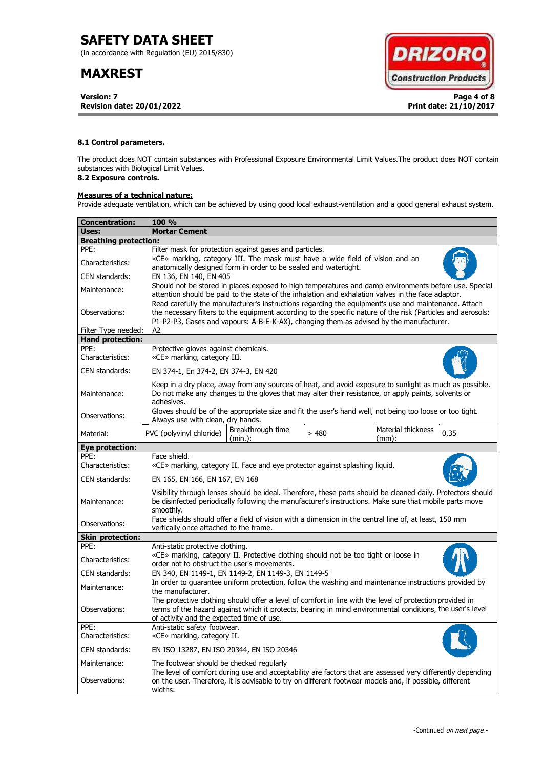(in accordance with Regulation (EU) 2015/830)

## **MAXREST**

**Version: 7 Page 4 of 8 Revision date: 20/01/2022 Print date: 21/10/2017**



## **8.1 Control parameters.**

The product does NOT contain substances with Professional Exposure Environmental Limit Values.The product does NOT contain substances with Biological Limit Values.

## **8.2 Exposure controls.**

## **Measures of a technical nature:**

Provide adequate ventilation, which can be achieved by using good local exhaust-ventilation and a good general exhaust system.

| Concentration:               | <b>100 %</b>                                                                                                                                                                                                                                                                                                        |  |  |
|------------------------------|---------------------------------------------------------------------------------------------------------------------------------------------------------------------------------------------------------------------------------------------------------------------------------------------------------------------|--|--|
| Uses:                        | <b>Mortar Cement</b>                                                                                                                                                                                                                                                                                                |  |  |
| <b>Breathing protection:</b> |                                                                                                                                                                                                                                                                                                                     |  |  |
| PPE:                         | Filter mask for protection against gases and particles.                                                                                                                                                                                                                                                             |  |  |
| Characteristics:             | «CE» marking, category III. The mask must have a wide field of vision and an<br>anatomically designed form in order to be sealed and watertight.                                                                                                                                                                    |  |  |
| CEN standards:               | EN 136, EN 140, EN 405                                                                                                                                                                                                                                                                                              |  |  |
| Maintenance:                 | Should not be stored in places exposed to high temperatures and damp environments before use. Special<br>attention should be paid to the state of the inhalation and exhalation valves in the face adaptor.<br>Read carefully the manufacturer's instructions regarding the equipment's use and maintenance. Attach |  |  |
| Observations:                | the necessary filters to the equipment according to the specific nature of the risk (Particles and aerosols:<br>P1-P2-P3, Gases and vapours: A-B-E-K-AX), changing them as advised by the manufacturer.                                                                                                             |  |  |
| Filter Type needed:          | A2                                                                                                                                                                                                                                                                                                                  |  |  |
| <b>Hand protection:</b>      |                                                                                                                                                                                                                                                                                                                     |  |  |
| PPE:<br>Characteristics:     | Protective gloves against chemicals.<br>«CE» marking, category III.                                                                                                                                                                                                                                                 |  |  |
| CEN standards:               | EN 374-1, En 374-2, EN 374-3, EN 420                                                                                                                                                                                                                                                                                |  |  |
| Maintenance:                 | Keep in a dry place, away from any sources of heat, and avoid exposure to sunlight as much as possible.<br>Do not make any changes to the gloves that may alter their resistance, or apply paints, solvents or<br>adhesives.                                                                                        |  |  |
| Observations:                | Gloves should be of the appropriate size and fit the user's hand well, not being too loose or too tight.<br>Always use with clean, dry hands.                                                                                                                                                                       |  |  |
| Material:                    | Breakthrough time<br>Material thickness<br>PVC (polyvinyl chloride)<br>>480<br>0,35<br>(min.):<br>$(mm)$ :                                                                                                                                                                                                          |  |  |
| <b>Eye protection:</b>       |                                                                                                                                                                                                                                                                                                                     |  |  |
| PPE:<br>Characteristics:     | Face shield.<br>«CE» marking, category II. Face and eye protector against splashing liquid.                                                                                                                                                                                                                         |  |  |
| CEN standards:               | EN 165, EN 166, EN 167, EN 168                                                                                                                                                                                                                                                                                      |  |  |
| Maintenance:                 | Visibility through lenses should be ideal. Therefore, these parts should be cleaned daily. Protectors should<br>be disinfected periodically following the manufacturer's instructions. Make sure that mobile parts move<br>smoothly.                                                                                |  |  |
| Observations:                | Face shields should offer a field of vision with a dimension in the central line of, at least, 150 mm<br>vertically once attached to the frame.                                                                                                                                                                     |  |  |
| <b>Skin protection:</b>      |                                                                                                                                                                                                                                                                                                                     |  |  |
| PPE:                         | Anti-static protective clothing.                                                                                                                                                                                                                                                                                    |  |  |
| Characteristics:             | «CE» marking, category II. Protective clothing should not be too tight or loose in<br>order not to obstruct the user's movements.                                                                                                                                                                                   |  |  |
| CEN standards:               | EN 340, EN 1149-1, EN 1149-2, EN 1149-3, EN 1149-5                                                                                                                                                                                                                                                                  |  |  |
| Maintenance:                 | In order to quarantee uniform protection, follow the washing and maintenance instructions provided by<br>the manufacturer.                                                                                                                                                                                          |  |  |
| Observations:                | The protective clothing should offer a level of comfort in line with the level of protection provided in<br>terms of the hazard against which it protects, bearing in mind environmental conditions, the user's level<br>of activity and the expected time of use.                                                  |  |  |
| PPE:<br>Characteristics:     | Anti-static safety footwear.<br>«CE» marking, category II.                                                                                                                                                                                                                                                          |  |  |
| CEN standards:               | EN ISO 13287, EN ISO 20344, EN ISO 20346                                                                                                                                                                                                                                                                            |  |  |
| Maintenance:                 | The footwear should be checked regularly                                                                                                                                                                                                                                                                            |  |  |
| Observations:                | The level of comfort during use and acceptability are factors that are assessed very differently depending<br>on the user. Therefore, it is advisable to try on different footwear models and, if possible, different<br>widths.                                                                                    |  |  |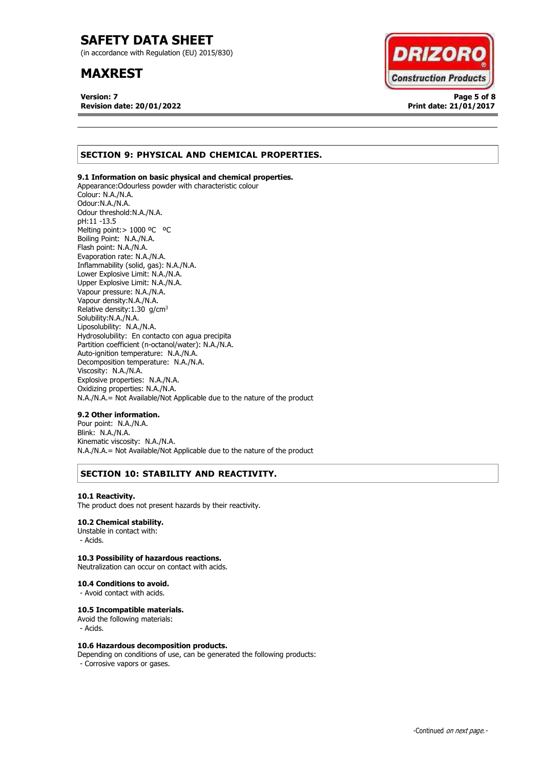(in accordance with Regulation (EU) 2015/830)

## **MAXREST**

**Version: 7 Page 5 of 8 Revision date: 20/01/2022 Print date: 21/01/2017**



## **SECTION 9: PHYSICAL AND CHEMICAL PROPERTIES.**

## **9.1 Information on basic physical and chemical properties.**

Appearance:Odourless powder with characteristic colour Colour: N.A./N.A. Odour:N.A./N.A. Odour threshold:N.A./N.A. pH:11 -13.5 Melting point: > 1000 °C °C Boiling Point: N.A./N.A. Flash point: N.A./N.A. Evaporation rate: N.A./N.A. Inflammability (solid, gas): N.A./N.A. Lower Explosive Limit: N.A./N.A. Upper Explosive Limit: N.A./N.A. Vapour pressure: N.A./N.A. Vapour density:N.A./N.A. Relative density:  $1.30$  g/cm<sup>3</sup> Solubility:N.A./N.A. Liposolubility: N.A./N.A. Hydrosolubility: En contacto con agua precipita Partition coefficient (n-octanol/water): N.A./N.A. Auto-ignition temperature: N.A./N.A. Decomposition temperature: N.A./N.A. Viscosity: N.A./N.A. Explosive properties: N.A./N.A. Oxidizing properties: N.A./N.A. N.A./N.A.= Not Available/Not Applicable due to the nature of the product

### **9.2 Other information.**

Pour point: N.A./N.A. Blink: N.A./N.A. Kinematic viscosity: N.A./N.A. N.A./N.A.= Not Available/Not Applicable due to the nature of the product

## **SECTION 10: STABILITY AND REACTIVITY.**

### **10.1 Reactivity.**

The product does not present hazards by their reactivity.

## **10.2 Chemical stability.**

Unstable in contact with: - Acids.

## **10.3 Possibility of hazardous reactions.**

Neutralization can occur on contact with acids.

#### **10.4 Conditions to avoid.**

- Avoid contact with acids.

### **10.5 Incompatible materials.**

Avoid the following materials: - Acids.

### **10.6 Hazardous decomposition products.**

Depending on conditions of use, can be generated the following products: - Corrosive vapors or gases.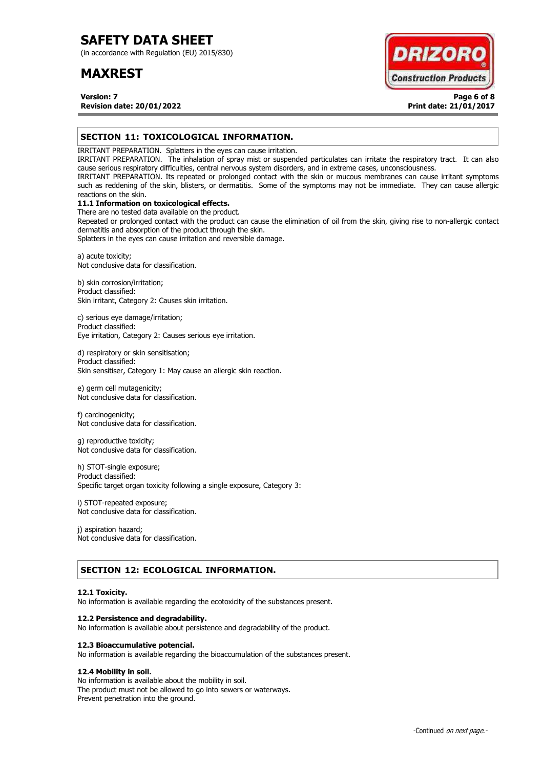(in accordance with Regulation (EU) 2015/830)

## **MAXREST**

**DRIZOR Construction Products** 

**Version: 7 Page 6 of 8 Revision date: 20/01/2022 Print date: 21/01/2017**

## **SECTION 11: TOXICOLOGICAL INFORMATION.**

IRRITANT PREPARATION. Splatters in the eyes can cause irritation.

IRRITANT PREPARATION. The inhalation of spray mist or suspended particulates can irritate the respiratory tract. It can also cause serious respiratory difficulties, central nervous system disorders, and in extreme cases, unconsciousness.

IRRITANT PREPARATION. Its repeated or prolonged contact with the skin or mucous membranes can cause irritant symptoms such as reddening of the skin, blisters, or dermatitis. Some of the symptoms may not be immediate. They can cause allergic reactions on the skin.

## **11.1 Information on toxicological effects.**

There are no tested data available on the product. Repeated or prolonged contact with the product can cause the elimination of oil from the skin, giving rise to non-allergic contact dermatitis and absorption of the product through the skin.

Splatters in the eyes can cause irritation and reversible damage.

a) acute toxicity; Not conclusive data for classification.

b) skin corrosion/irritation; Product classified: Skin irritant, Category 2: Causes skin irritation.

c) serious eye damage/irritation; Product classified: Eye irritation, Category 2: Causes serious eye irritation.

d) respiratory or skin sensitisation; Product classified: Skin sensitiser, Category 1: May cause an allergic skin reaction.

e) germ cell mutagenicity; Not conclusive data for classification.

f) carcinogenicity; Not conclusive data for classification.

g) reproductive toxicity; Not conclusive data for classification.

h) STOT-single exposure; Product classified: Specific target organ toxicity following a single exposure, Category 3:

i) STOT-repeated exposure; Not conclusive data for classification.

j) aspiration hazard; Not conclusive data for classification.

## **SECTION 12: ECOLOGICAL INFORMATION.**

### **12.1 Toxicity.**

No information is available regarding the ecotoxicity of the substances present.

### **12.2 Persistence and degradability.**

No information is available about persistence and degradability of the product.

### **12.3 Bioaccumulative potencial.**

No information is available regarding the bioaccumulation of the substances present.

## **12.4 Mobility in soil.**

No information is available about the mobility in soil. The product must not be allowed to go into sewers or waterways. Prevent penetration into the ground.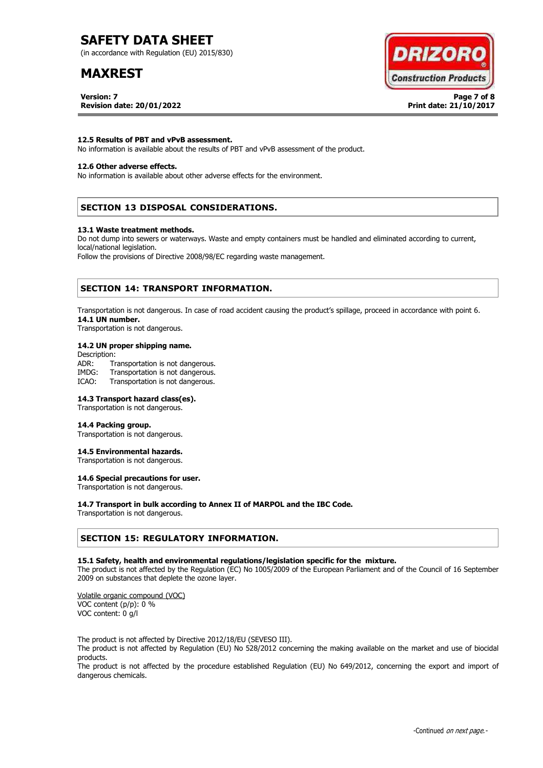(in accordance with Regulation (EU) 2015/830)

## **MAXREST**

**Version: 7 Page 7 of 8 Revision date: 20/01/2022 Print date: 21/10/2017**



### **12.5 Results of PBT and vPvB assessment.**

No information is available about the results of PBT and vPvB assessment of the product.

### **12.6 Other adverse effects.**

No information is available about other adverse effects for the environment.

## **SECTION 13 DISPOSAL CONSIDERATIONS.**

#### **13.1 Waste treatment methods.**

Do not dump into sewers or waterways. Waste and empty containers must be handled and eliminated according to current, local/national legislation.

Follow the provisions of Directive 2008/98/EC regarding waste management.

## **SECTION 14: TRANSPORT INFORMATION.**

Transportation is not dangerous. In case of road accident causing the product's spillage, proceed in accordance with point 6. **14.1 UN number.**

Transportation is not dangerous.

### **14.2 UN proper shipping name.**

Description: ADR: Transportation is not dangerous.<br>IMDG: Transportation is not dangerous. Transportation is not dangerous. ICAO: Transportation is not dangerous.

#### **14.3 Transport hazard class(es).**

Transportation is not dangerous.

#### **14.4 Packing group.**

Transportation is not dangerous.

#### **14.5 Environmental hazards.**

Transportation is not dangerous.

## **14.6 Special precautions for user.**

Transportation is not dangerous.

### **14.7 Transport in bulk according to Annex II of MARPOL and the IBC Code.**

Transportation is not dangerous.

## **SECTION 15: REGULATORY INFORMATION.**

#### **15.1 Safety, health and environmental regulations/legislation specific for the mixture.**

The product is not affected by the Regulation (EC) No 1005/2009 of the European Parliament and of the Council of 16 September 2009 on substances that deplete the ozone layer.

Volatile organic compound (VOC) VOC content (p/p): 0 % VOC content: 0 g/l

The product is not affected by Directive 2012/18/EU (SEVESO III).

The product is not affected by Regulation (EU) No 528/2012 concerning the making available on the market and use of biocidal products.

The product is not affected by the procedure established Regulation (EU) No 649/2012, concerning the export and import of dangerous chemicals.